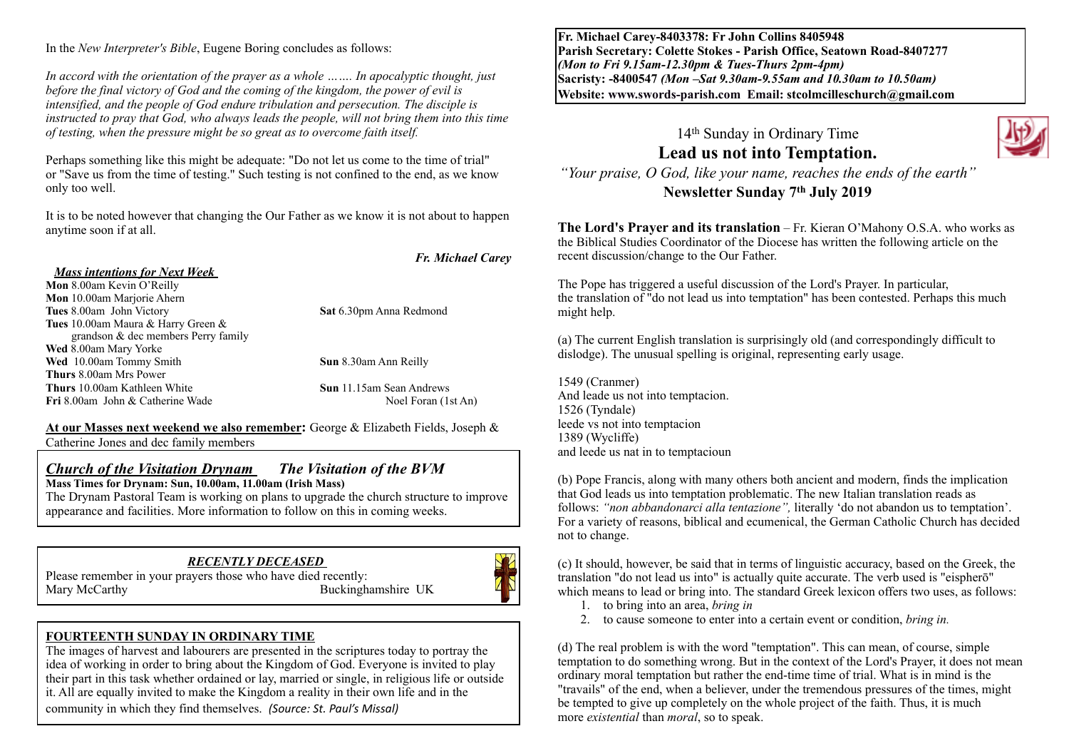In the *New Interpreter's Bible*, Eugene Boring concludes as follows:

*In accord with the orientation of the prayer as a whole ……. In apocalyptic thought, just before the final victory of God and the coming of the kingdom, the power of evil is intensified, and the people of God endure tribulation and persecution. The disciple is instructed to pray that God, who always leads the people, will not bring them into this time of testing, when the pressure might be so great as to overcome faith itself.* 

Perhaps something like this might be adequate: "Do not let us come to the time of trial" or "Save us from the time of testing." Such testing is not confined to the end, as we know only too well.

It is to be noted however that changing the Our Father as we know it is not about to happen anytime soon if at all.

#### *Fr. Michael Carey*

#### *Mass intentions for Next Week*

**Mon** 8.00am Kevin O'Reilly **Mon** 10.00am Marjorie Ahern **Tues** 8.00am John Victory **Sat** 6.30pm Anna Redmond **Tues** 10.00am Maura & Harry Green & grandson & dec members Perry family **Wed** 8.00am Mary Yorke **Wed** 10.00am Tommy Smith **Sun** 8.30am Ann Reilly **Thurs** 8.00am Mrs Power **Fri 8.00am John & Catherine Wade** 

**Thurs** 10.00am Kathleen White **Sun** 11.15am Sean Andrews<br> **Fri** 8.00am John & Catherine Wade **Sun 11.15am Sean Andrews** 

**At our Masses next weekend we also remember:** George & Elizabeth Fields, Joseph & Catherine Jones and dec family members

#### *Church of the Visitation Drynam**The Visitation of the BVM* **Mass Times for Drynam: Sun, 10.00am, 11.00am (Irish Mass)**

The Drynam Pastoral Team is working on plans to upgrade the church structure to improve appearance and facilities. More information to follow on this in coming weeks.

#### *RECENTLY DECEASED*

Please remember in your prayers those who have died recently: Mary McCarthy Buckinghamshire UK



#### **FOURTEENTH SUNDAY IN ORDINARY TIME**

The images of harvest and labourers are presented in the scriptures today to portray the idea of working in order to bring about the Kingdom of God. Everyone is invited to play their part in this task whether ordained or lay, married or single, in religious life or outside it. All are equally invited to make the Kingdom a reality in their own life and in the community in which they find themselves. *(Source: St. Paul's Missal)* 

**Fr. Michael Carey-8403378: Fr John Collins 8405948 Parish Secretary: Colette Stokes - Parish Office, Seatown Road-8407277**  *(Mon to Fri 9.15am-12.30pm & Tues-Thurs 2pm-4pm)*  **Sacristy: -8400547** *(Mon –Sat 9.30am-9.55am and 10.30am to 10.50am)* **Website: [www.swords-parish.com Email:](http://www.swords-parish.com%20%20email) stcolmcilleschurch@gmail.com**

### 14th Sunday in Ordinary Time **Lead us not into Temptation.** *"Your praise, O God, like your name, reaches the ends of the earth"*  **Newsletter Sunday 7th July 2019**

**The Lord's Prayer and its translation** – Fr. Kieran O'Mahony O.S.A. who works as the Biblical Studies Coordinator of the Diocese has written the following article on the recent discussion/change to the Our Father.

The Pope has triggered a useful discussion of the Lord's Prayer. In particular, the translation of "do not lead us into temptation" has been contested. Perhaps this much might help.

(a) The current English translation is surprisingly old (and correspondingly difficult to dislodge). The unusual spelling is original, representing early usage.

1549 (Cranmer) And leade us not into temptacion. 1526 (Tyndale) leede vs not into temptacion 1389 (Wycliffe) and leede us nat in to temptacioun

(b) Pope Francis, along with many others both ancient and modern, finds the implication that God leads us into temptation problematic. The new Italian translation reads as follows: *"non abbandonarci alla tentazione",* literally 'do not abandon us to temptation'. For a variety of reasons, biblical and ecumenical, the German Catholic Church has decided not to change.

(c) It should, however, be said that in terms of linguistic accuracy, based on the Greek, the translation "do not lead us into" is actually quite accurate. The verb used is "eispherō" which means to lead or bring into. The standard Greek lexicon offers two uses, as follows:

- 1. to bring into an area, *bring in*
- 2. to cause someone to enter into a certain event or condition, *bring in.*

(d) The real problem is with the word "temptation". This can mean, of course, simple temptation to do something wrong. But in the context of the Lord's Prayer, it does not mean ordinary moral temptation but rather the end-time time of trial. What is in mind is the "travails" of the end, when a believer, under the tremendous pressures of the times, might be tempted to give up completely on the whole project of the faith. Thus, it is much more *existential* than *moral*, so to speak.